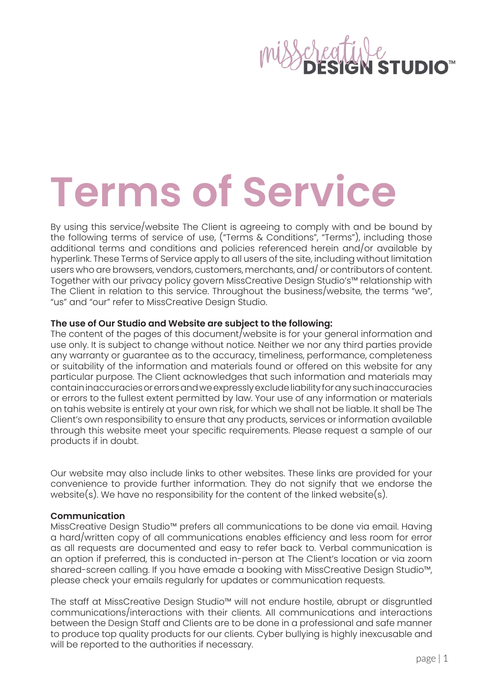# **Terms of Service**

By using this service/website The Client is agreeing to comply with and be bound by the following terms of service of use, ("Terms & Conditions", "Terms"), including those additional terms and conditions and policies referenced herein and/or available by hyperlink. These Terms of Service apply to all users of the site, including without limitation users who are browsers, vendors, customers, merchants, and/ or contributors of content. Together with our privacy policy govern MissCreative Design Studio's™ relationship with The Client in relation to this service. Throughout the business/website, the terms "we", "us" and "our" refer to MissCreative Design Studio.

# **The use of Our Studio and Website are subject to the following:**

The content of the pages of this document/website is for your general information and use only. It is subject to change without notice. Neither we nor any third parties provide any warranty or guarantee as to the accuracy, timeliness, performance, completeness or suitability of the information and materials found or offered on this website for any particular purpose. The Client acknowledges that such information and materials may contain inaccuracies or errors and we expressly exclude liability for any such inaccuracies or errors to the fullest extent permitted by law. Your use of any information or materials on tahis website is entirely at your own risk, for which we shall not be liable. It shall be The Client's own responsibility to ensure that any products, services or information available through this website meet your specific requirements. Please request a sample of our products if in doubt.

Our website may also include links to other websites. These links are provided for your convenience to provide further information. They do not signify that we endorse the website(s). We have no responsibility for the content of the linked website(s).

# **Communication**

MissCreative Design Studio™ prefers all communications to be done via email. Having a hard/written copy of all communications enables efficiency and less room for error as all requests are documented and easy to refer back to. Verbal communication is an option if preferred, this is conducted in-person at The Client's location or via zoom shared-screen calling. If you have emade a booking with MissCreative Design Studio™, please check your emails regularly for updates or communication requests.

The staff at MissCreative Design Studio™ will not endure hostile, abrupt or disgruntled communications/interactions with their clients. All communications and interactions between the Design Staff and Clients are to be done in a professional and safe manner to produce top quality products for our clients. Cyber bullying is highly inexcusable and will be reported to the authorities if necessary.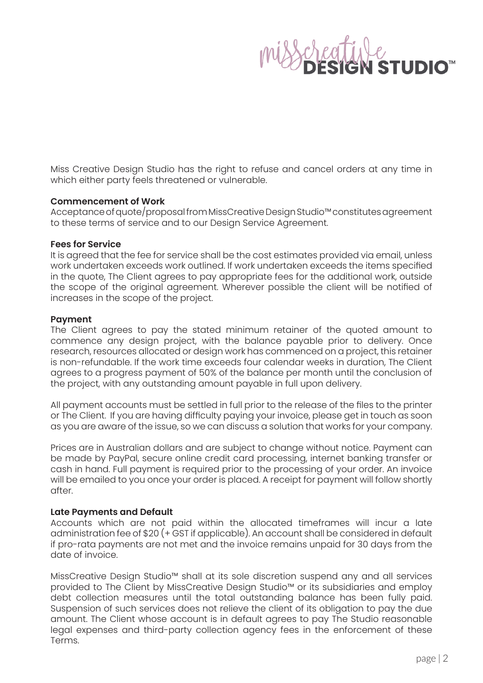

Miss Creative Design Studio has the right to refuse and cancel orders at any time in which either party feels threatened or vulnerable.

### **Commencement of Work**

Acceptance of quote/proposal from MissCreative Design Studio™ constitutes agreement to these terms of service and to our Design Service Agreement.

### **Fees for Service**

It is agreed that the fee for service shall be the cost estimates provided via email, unless work undertaken exceeds work outlined. If work undertaken exceeds the items specified in the quote, The Client agrees to pay appropriate fees for the additional work, outside the scope of the original agreement. Wherever possible the client will be notified of increases in the scope of the project.

### **Payment**

The Client agrees to pay the stated minimum retainer of the quoted amount to commence any design project, with the balance payable prior to delivery. Once research, resources allocated or design work has commenced on a project, this retainer is non-refundable. If the work time exceeds four calendar weeks in duration, The Client agrees to a progress payment of 50% of the balance per month until the conclusion of the project, with any outstanding amount payable in full upon delivery.

All payment accounts must be settled in full prior to the release of the files to the printer or The Client. If you are having difficulty paying your invoice, please get in touch as soon as you are aware of the issue, so we can discuss a solution that works for your company.

Prices are in Australian dollars and are subject to change without notice. Payment can be made by PayPal, secure online credit card processing, internet banking transfer or cash in hand. Full payment is required prior to the processing of your order. An invoice will be emailed to you once your order is placed. A receipt for payment will follow shortly after.

# **Late Payments and Default**

Accounts which are not paid within the allocated timeframes will incur a late administration fee of \$20 (+ GST if applicable). An account shall be considered in default if pro-rata payments are not met and the invoice remains unpaid for 30 days from the date of invoice.

MissCreative Design Studio™ shall at its sole discretion suspend any and all services provided to The Client by MissCreative Design Studio™ or its subsidiaries and employ debt collection measures until the total outstanding balance has been fully paid. Suspension of such services does not relieve the client of its obligation to pay the due amount. The Client whose account is in default agrees to pay The Studio reasonable legal expenses and third-party collection agency fees in the enforcement of these Terms.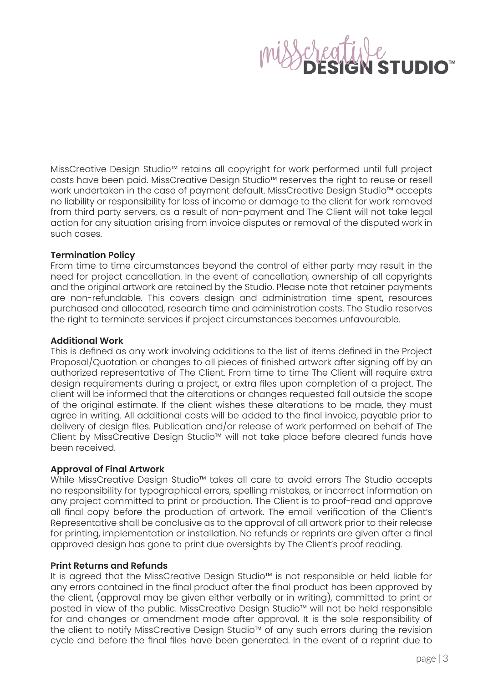MissCreative Design Studio™ retains all copyright for work performed until full project costs have been paid. MissCreative Design Studio™ reserves the right to reuse or resell work undertaken in the case of payment default. MissCreative Design Studio™ accepts no liability or responsibility for loss of income or damage to the client for work removed from third party servers, as a result of non-payment and The Client will not take legal action for any situation arising from invoice disputes or removal of the disputed work in such cases.

# **Termination Policy**

From time to time circumstances beyond the control of either party may result in the need for project cancellation. In the event of cancellation, ownership of all copyrights and the original artwork are retained by the Studio. Please note that retainer payments are non-refundable. This covers design and administration time spent, resources purchased and allocated, research time and administration costs. The Studio reserves the right to terminate services if project circumstances becomes unfavourable.

# **Additional Work**

This is defined as any work involving additions to the list of items defined in the Project Proposal/Quotation or changes to all pieces of finished artwork after signing off by an authorized representative of The Client. From time to time The Client will require extra design requirements during a project, or extra files upon completion of a project. The client will be informed that the alterations or changes requested fall outside the scope of the original estimate. If the client wishes these alterations to be made, they must agree in writing. All additional costs will be added to the final invoice, payable prior to delivery of design files. Publication and/or release of work performed on behalf of The Client by MissCreative Design Studio™ will not take place before cleared funds have been received.

# **Approval of Final Artwork**

While MissCreative Design Studio™ takes all care to avoid errors The Studio accepts no responsibility for typographical errors, spelling mistakes, or incorrect information on any project committed to print or production. The Client is to proof-read and approve all final copy before the production of artwork. The email verification of the Client's Representative shall be conclusive as to the approval of all artwork prior to their release for printing, implementation or installation. No refunds or reprints are given after a final approved design has gone to print due oversights by The Client's proof reading.

# **Print Returns and Refunds**

It is agreed that the MissCreative Design Studio™ is not responsible or held liable for any errors contained in the final product after the final product has been approved by the client, (approval may be given either verbally or in writing), committed to print or posted in view of the public. MissCreative Design Studio™ will not be held responsible for and changes or amendment made after approval. It is the sole responsibility of the client to notify MissCreative Design Studio™ of any such errors during the revision cycle and before the final files have been generated. In the event of a reprint due to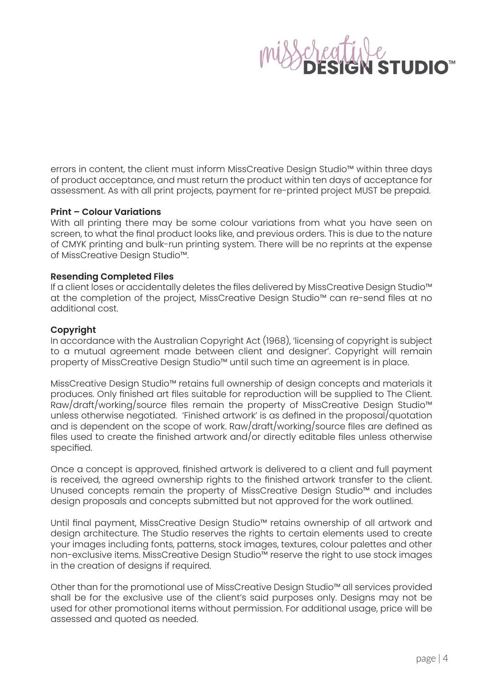errors in content, the client must inform MissCreative Design Studio™ within three days of product acceptance, and must return the product within ten days of acceptance for assessment. As with all print projects, payment for re-printed project MUST be prepaid.

# **Print – Colour Variations**

With all printing there may be some colour variations from what you have seen on screen, to what the final product looks like, and previous orders. This is due to the nature of CMYK printing and bulk-run printing system. There will be no reprints at the expense of MissCreative Design Studio™.

# **Resending Completed Files**

If a client loses or accidentally deletes the files delivered by MissCreative Design Studio™ at the completion of the project, MissCreative Design Studio™ can re-send files at no additional cost.

# **Copyright**

In accordance with the Australian Copyright Act (1968), 'licensing of copyright is subject to a mutual agreement made between client and designer'. Copyright will remain property of MissCreative Design Studio™ until such time an agreement is in place.

MissCreative Design Studio™ retains full ownership of design concepts and materials it produces. Only finished art files suitable for reproduction will be supplied to The Client. Raw/draft/working/source files remain the property of MissCreative Design Studio™ unless otherwise negotiated. 'Finished artwork' is as defined in the proposal/quotation and is dependent on the scope of work. Raw/draft/working/source files are defined as files used to create the finished artwork and/or directly editable files unless otherwise specified.

Once a concept is approved, finished artwork is delivered to a client and full payment is received, the agreed ownership rights to the finished artwork transfer to the client. Unused concepts remain the property of MissCreative Design Studio™ and includes design proposals and concepts submitted but not approved for the work outlined.

Until final payment, MissCreative Design Studio™ retains ownership of all artwork and design architecture. The Studio reserves the rights to certain elements used to create your images including fonts, patterns, stock images, textures, colour palettes and other non-exclusive items. MissCreative Design Studio™ reserve the right to use stock images in the creation of designs if required.

Other than for the promotional use of MissCreative Design Studio™ all services provided shall be for the exclusive use of the client's said purposes only. Designs may not be used for other promotional items without permission. For additional usage, price will be assessed and quoted as needed.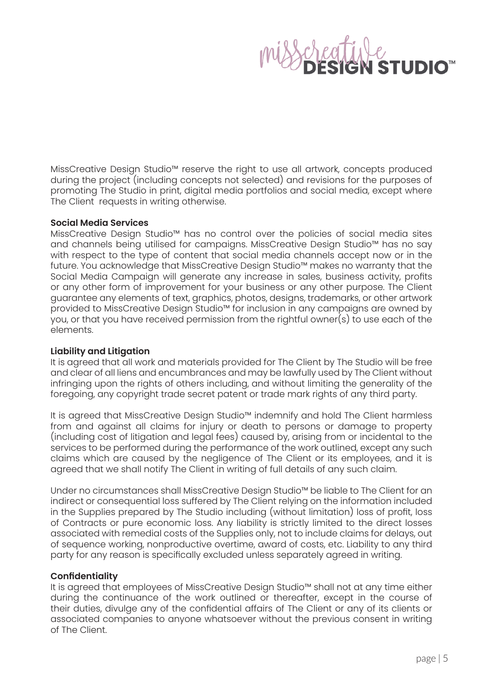MissCreative Design Studio™ reserve the right to use all artwork, concepts produced during the project (including concepts not selected) and revisions for the purposes of promoting The Studio in print, digital media portfolios and social media, except where The Client requests in writing otherwise.

# **Social Media Services**

MissCreative Design Studio™ has no control over the policies of social media sites and channels being utilised for campaigns. MissCreative Design Studio™ has no say with respect to the type of content that social media channels accept now or in the future. You acknowledge that MissCreative Design Studio™ makes no warranty that the Social Media Campaign will generate any increase in sales, business activity, profits or any other form of improvement for your business or any other purpose. The Client guarantee any elements of text, graphics, photos, designs, trademarks, or other artwork provided to MissCreative Design Studio™ for inclusion in any campaigns are owned by you, or that you have received permission from the rightful owner(s) to use each of the elements.

# **Liability and Litigation**

It is agreed that all work and materials provided for The Client by The Studio will be free and clear of all liens and encumbrances and may be lawfully used by The Client without infringing upon the rights of others including, and without limiting the generality of the foregoing, any copyright trade secret patent or trade mark rights of any third party.

It is agreed that MissCreative Design Studio™ indemnify and hold The Client harmless from and against all claims for injury or death to persons or damage to property (including cost of litigation and legal fees) caused by, arising from or incidental to the services to be performed during the performance of the work outlined, except any such claims which are caused by the negligence of The Client or its employees, and it is agreed that we shall notify The Client in writing of full details of any such claim.

Under no circumstances shall MissCreative Design Studio™ be liable to The Client for an indirect or consequential loss suffered by The Client relying on the information included in the Supplies prepared by The Studio including (without limitation) loss of profit, loss of Contracts or pure economic loss. Any liability is strictly limited to the direct losses associated with remedial costs of the Supplies only, not to include claims for delays, out of sequence working, nonproductive overtime, award of costs, etc. Liability to any third party for any reason is specifically excluded unless separately agreed in writing.

# **Confidentiality**

It is agreed that employees of MissCreative Design Studio™ shall not at any time either during the continuance of the work outlined or thereafter, except in the course of their duties, divulge any of the confidential affairs of The Client or any of its clients or associated companies to anyone whatsoever without the previous consent in writing of The Client.